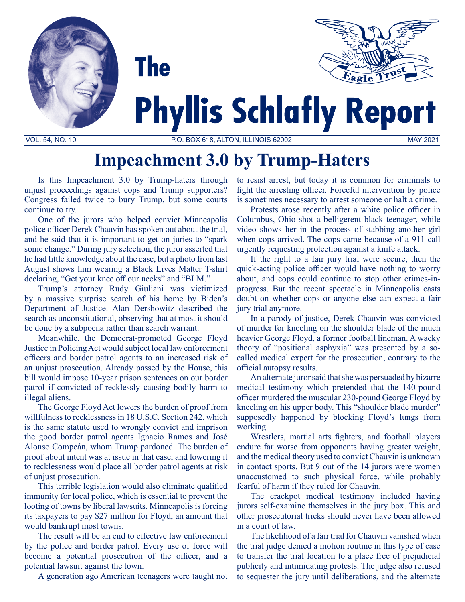



# **Phyllis Schlafly Report**

VOL. 54, NO. 10 P.O. BOX 618, ALTON, ILLINOIS 62002 MAY 2021

## **Impeachment 3.0 by Trump-Haters**

Is this Impeachment 3.0 by Trump-haters through unjust proceedings against cops and Trump supporters? Congress failed twice to bury Trump, but some courts continue to try.

**The** 

One of the jurors who helped convict Minneapolis police officer Derek Chauvin has spoken out about the trial, and he said that it is important to get on juries to "spark some change." During jury selection, the juror asserted that he had little knowledge about the case, but a photo from last August shows him wearing a Black Lives Matter T-shirt declaring, "Get your knee off our necks" and "BLM."

Trump's attorney Rudy Giuliani was victimized by a massive surprise search of his home by Biden's Department of Justice. Alan Dershowitz described the search as unconstitutional, observing that at most it should be done by a subpoena rather than search warrant.

Meanwhile, the Democrat-promoted George Floyd Justice in Policing Act would subject local law enforcement officers and border patrol agents to an increased risk of an unjust prosecution. Already passed by the House, this bill would impose 10-year prison sentences on our border patrol if convicted of recklessly causing bodily harm to illegal aliens.

The George Floyd Act lowers the burden of proof from willfulness to recklessness in 18 U.S.C. Section 242, which is the same statute used to wrongly convict and imprison the good border patrol agents Ignacio Ramos and José Alonso Compeán, whom Trump pardoned. The burden of proof about intent was at issue in that case, and lowering it to recklessness would place all border patrol agents at risk of unjust prosecution.

This terrible legislation would also eliminate qualified immunity for local police, which is essential to prevent the looting of towns by liberal lawsuits. Minneapolis is forcing its taxpayers to pay \$27 million for Floyd, an amount that would bankrupt most towns.

The result will be an end to effective law enforcement by the police and border patrol. Every use of force will become a potential prosecution of the officer, and a potential lawsuit against the town.

A generation ago American teenagers were taught not

to resist arrest, but today it is common for criminals to fight the arresting officer. Forceful intervention by police is sometimes necessary to arrest someone or halt a crime.

Protests arose recently after a white police officer in Columbus, Ohio shot a belligerent black teenager, while video shows her in the process of stabbing another girl when cops arrived. The cops came because of a 911 call urgently requesting protection against a knife attack.

If the right to a fair jury trial were secure, then the quick-acting police officer would have nothing to worry about, and cops could continue to stop other crimes-inprogress. But the recent spectacle in Minneapolis casts doubt on whether cops or anyone else can expect a fair jury trial anymore.

In a parody of justice, Derek Chauvin was convicted of murder for kneeling on the shoulder blade of the much heavier George Floyd, a former football lineman. A wacky theory of "positional asphyxia" was presented by a socalled medical expert for the prosecution, contrary to the official autopsy results.

An alternate juror said that she was persuaded by bizarre medical testimony which pretended that the 140-pound officer murdered the muscular 230-pound George Floyd by kneeling on his upper body. This "shoulder blade murder" supposedly happened by blocking Floyd's lungs from working.

Wrestlers, martial arts fighters, and football players endure far worse from opponents having greater weight, and the medical theory used to convict Chauvin is unknown in contact sports. But 9 out of the 14 jurors were women unaccustomed to such physical force, while probably fearful of harm if they ruled for Chauvin.

The crackpot medical testimony included having jurors self-examine themselves in the jury box. This and other prosecutorial tricks should never have been allowed in a court of law.

The likelihood of a fair trial for Chauvin vanished when the trial judge denied a motion routine in this type of case to transfer the trial location to a place free of prejudicial publicity and intimidating protests. The judge also refused to sequester the jury until deliberations, and the alternate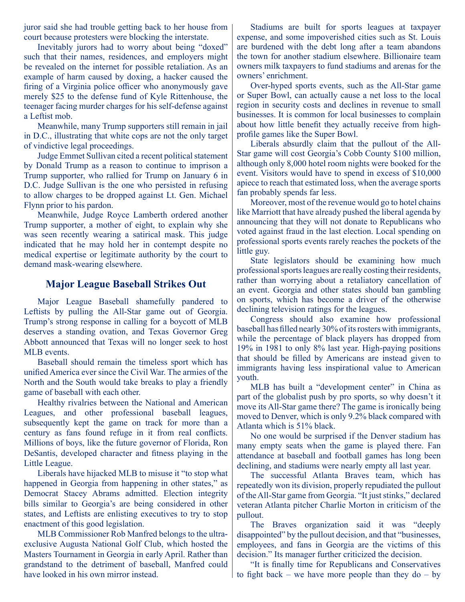juror said she had trouble getting back to her house from court because protesters were blocking the interstate.

Inevitably jurors had to worry about being "doxed" such that their names, residences, and employers might be revealed on the internet for possible retaliation. As an example of harm caused by doxing, a hacker caused the firing of a Virginia police officer who anonymously gave merely \$25 to the defense fund of Kyle Rittenhouse, the teenager facing murder charges for his self-defense against a Leftist mob.

Meanwhile, many Trump supporters still remain in jail in D.C., illustrating that white cops are not the only target of vindictive legal proceedings.

Judge Emmet Sullivan cited a recent political statement by Donald Trump as a reason to continue to imprison a Trump supporter, who rallied for Trump on January 6 in D.C. Judge Sullivan is the one who persisted in refusing to allow charges to be dropped against Lt. Gen. Michael Flynn prior to his pardon.

Meanwhile, Judge Royce Lamberth ordered another Trump supporter, a mother of eight, to explain why she was seen recently wearing a satirical mask. This judge indicated that he may hold her in contempt despite no medical expertise or legitimate authority by the court to demand mask-wearing elsewhere.

### **Major League Baseball Strikes Out**

Major League Baseball shamefully pandered to Leftists by pulling the All-Star game out of Georgia. Trump's strong response in calling for a boycott of MLB deserves a standing ovation, and Texas Governor Greg Abbott announced that Texas will no longer seek to host MLB events.

Baseball should remain the timeless sport which has unified America ever since the Civil War. The armies of the North and the South would take breaks to play a friendly game of baseball with each other.

Healthy rivalries between the National and American Leagues, and other professional baseball leagues, subsequently kept the game on track for more than a century as fans found refuge in it from real conflicts. Millions of boys, like the future governor of Florida, Ron DeSantis, developed character and fitness playing in the Little League.

Liberals have hijacked MLB to misuse it "to stop what happened in Georgia from happening in other states," as Democrat Stacey Abrams admitted. Election integrity bills similar to Georgia's are being considered in other states, and Leftists are enlisting executives to try to stop enactment of this good legislation.

MLB Commissioner Rob Manfred belongs to the ultraexclusive Augusta National Golf Club, which hosted the Masters Tournament in Georgia in early April. Rather than grandstand to the detriment of baseball, Manfred could have looked in his own mirror instead.

Stadiums are built for sports leagues at taxpayer expense, and some impoverished cities such as St. Louis are burdened with the debt long after a team abandons the town for another stadium elsewhere. Billionaire team owners milk taxpayers to fund stadiums and arenas for the owners' enrichment.

Over-hyped sports events, such as the All-Star game or Super Bowl, can actually cause a net loss to the local region in security costs and declines in revenue to small businesses. It is common for local businesses to complain about how little benefit they actually receive from highprofile games like the Super Bowl.

Liberals absurdly claim that the pullout of the All-Star game will cost Georgia's Cobb County \$100 million, although only 8,000 hotel room nights were booked for the event. Visitors would have to spend in excess of \$10,000 apiece to reach that estimated loss, when the average sports fan probably spends far less.

Moreover, most of the revenue would go to hotel chains like Marriott that have already pushed the liberal agenda by announcing that they will not donate to Republicans who voted against fraud in the last election. Local spending on professional sports events rarely reaches the pockets of the little guy.

State legislators should be examining how much professional sports leagues are really costing their residents, rather than worrying about a retaliatory cancellation of an event. Georgia and other states should ban gambling on sports, which has become a driver of the otherwise declining television ratings for the leagues.

Congress should also examine how professional baseball has filled nearly 30% of its rosters with immigrants, while the percentage of black players has dropped from 19% in 1981 to only 8% last year. High-paying positions that should be filled by Americans are instead given to immigrants having less inspirational value to American youth.

MLB has built a "development center" in China as part of the globalist push by pro sports, so why doesn't it move its All-Star game there? The game is ironically being moved to Denver, which is only 9.2% black compared with Atlanta which is 51% black.

No one would be surprised if the Denver stadium has many empty seats when the game is played there. Fan attendance at baseball and football games has long been declining, and stadiums were nearly empty all last year.

The successful Atlanta Braves team, which has repeatedly won its division, properly repudiated the pullout of the All-Star game from Georgia. "It just stinks," declared veteran Atlanta pitcher Charlie Morton in criticism of the pullout.

The Braves organization said it was "deeply disappointed" by the pullout decision, and that "businesses, employees, and fans in Georgia are the victims of this decision." Its manager further criticized the decision.

"It is finally time for Republicans and Conservatives to fight back – we have more people than they  $do - by$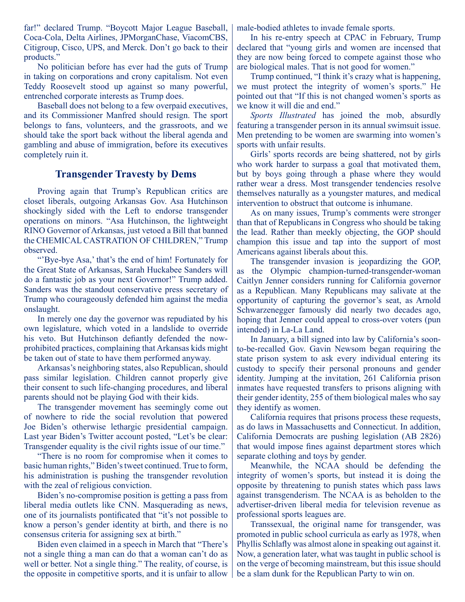far!" declared Trump. "Boycott Major League Baseball, Coca-Cola, Delta Airlines, JPMorganChase, ViacomCBS, Citigroup, Cisco, UPS, and Merck. Don't go back to their products."

No politician before has ever had the guts of Trump in taking on corporations and crony capitalism. Not even Teddy Roosevelt stood up against so many powerful, entrenched corporate interests as Trump does.

Baseball does not belong to a few overpaid executives, and its Commissioner Manfred should resign. The sport belongs to fans, volunteers, and the grassroots, and we should take the sport back without the liberal agenda and gambling and abuse of immigration, before its executives completely ruin it.

#### **Transgender Travesty by Dems**

Proving again that Trump's Republican critics are closet liberals, outgoing Arkansas Gov. Asa Hutchinson shockingly sided with the Left to endorse transgender operations on minors. "Asa Hutchinson, the lightweight RINO Governor of Arkansas, just vetoed a Bill that banned the CHEMICAL CASTRATION OF CHILDREN," Trump observed.

"'Bye-bye Asa,' that's the end of him! Fortunately for the Great State of Arkansas, Sarah Huckabee Sanders will do a fantastic job as your next Governor!" Trump added. Sanders was the standout conservative press secretary of Trump who courageously defended him against the media onslaught.

In merely one day the governor was repudiated by his own legislature, which voted in a landslide to override his veto. But Hutchinson defiantly defended the nowprohibited practices, complaining that Arkansas kids might be taken out of state to have them performed anyway.

Arkansas's neighboring states, also Republican, should pass similar legislation. Children cannot properly give their consent to such life-changing procedures, and liberal parents should not be playing God with their kids.

The transgender movement has seemingly come out of nowhere to ride the social revolution that powered Joe Biden's otherwise lethargic presidential campaign. Last year Biden's Twitter account posted, "Let's be clear: Transgender equality is the civil rights issue of our time."

"There is no room for compromise when it comes to basic human rights," Biden's tweet continued. True to form, his administration is pushing the transgender revolution with the zeal of religious conviction.

Biden's no-compromise position is getting a pass from liberal media outlets like CNN. Masquerading as news, one of its journalists pontificated that "it's not possible to know a person's gender identity at birth, and there is no consensus criteria for assigning sex at birth."

Biden even claimed in a speech in March that "There's not a single thing a man can do that a woman can't do as well or better. Not a single thing." The reality, of course, is the opposite in competitive sports, and it is unfair to allow male-bodied athletes to invade female sports.

In his re-entry speech at CPAC in February, Trump declared that "young girls and women are incensed that they are now being forced to compete against those who are biological males. That is not good for women."

Trump continued, "I think it's crazy what is happening, we must protect the integrity of women's sports." He pointed out that "If this is not changed women's sports as we know it will die and end."

*Sports Illustrated* has joined the mob, absurdly featuring a transgender person in its annual swimsuit issue. Men pretending to be women are swarming into women's sports with unfair results.

Girls' sports records are being shattered, not by girls who work harder to surpass a goal that motivated them, but by boys going through a phase where they would rather wear a dress. Most transgender tendencies resolve themselves naturally as a youngster matures, and medical intervention to obstruct that outcome is inhumane.

As on many issues, Trump's comments were stronger than that of Republicans in Congress who should be taking the lead. Rather than meekly objecting, the GOP should champion this issue and tap into the support of most Americans against liberals about this.

The transgender invasion is jeopardizing the GOP, as the Olympic champion-turned-transgender-woman Caitlyn Jenner considers running for California governor as a Republican. Many Republicans may salivate at the opportunity of capturing the governor's seat, as Arnold Schwarzenegger famously did nearly two decades ago, hoping that Jenner could appeal to cross-over voters (pun intended) in La-La Land.

In January, a bill signed into law by California's soonto-be-recalled Gov. Gavin Newsom began requiring the state prison system to ask every individual entering its custody to specify their personal pronouns and gender identity. Jumping at the invitation, 261 California prison inmates have requested transfers to prisons aligning with their gender identity, 255 of them biological males who say they identify as women.

California requires that prisons process these requests, as do laws in Massachusetts and Connecticut. In addition, California Democrats are pushing legislation (AB 2826) that would impose fines against department stores which separate clothing and toys by gender.

Meanwhile, the NCAA should be defending the integrity of women's sports, but instead it is doing the opposite by threatening to punish states which pass laws against transgenderism. The NCAA is as beholden to the advertiser-driven liberal media for television revenue as professional sports leagues are.

Transsexual, the original name for transgender, was promoted in public school curricula as early as 1978, when Phyllis Schlafly was almost alone in speaking out against it. Now, a generation later, what was taught in public school is on the verge of becoming mainstream, but this issue should be a slam dunk for the Republican Party to win on.